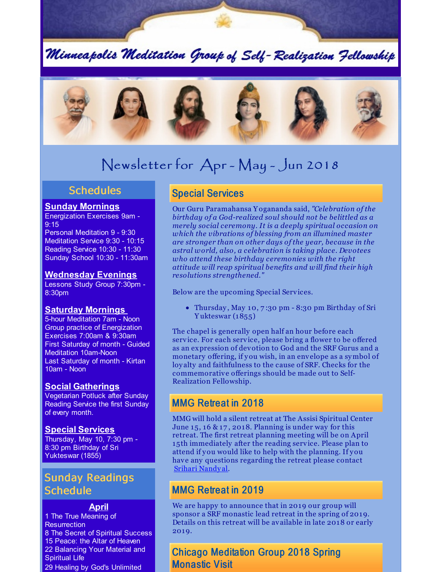Minneapolis Meditation Group of Self-Realization Fellowship



# Newsletter for Apr - May - Jun 2018

# **Schedules**

#### **Sunday Mornings**

Energization Exercises 9am - 9:15

Personal Meditation 9 - 9:30 Meditation Service 9:30 - 10:15 Reading Service 10:30 - 11:30 Sunday School 10:30 - 11:30am

#### **Wednesday Evenings**

Lessons Study Group 7:30pm - 8:30pm

#### **Saturday Mornings**

5-hour Meditation 7am - Noon Group practice of Energization Exercises 7:00am & 9:30am First Saturday of month - Guided Meditation 10am-Noon Last Saturday of month - Kirtan 10am - Noon

#### **Social Gatherings**

Vegetarian Potluck after Sunday Reading Service the first Sunday of every month.

#### **Special Services**

Thursday, May 10, 7:30 pm - 8:30 pm Birthday of Sri Yukteswar (1855)

# Sunday Readings **Schedule**

#### **April**

 The True Meaning of **Resurrection**  The Secret of Spiritual Success Peace: the Altar of Heaven Balancing Your Material and Spiritual Life Healing by God's Unlimited

# Special Services

Our Guru Paramahansa Y ogananda said, *"Celebration of the birthday of a God-realized soul should not be belittled as a merely social ceremony. It is a deeply spiritual occasion on which the vibrations of blessing from an illumined master are stronger than on other days of the year, because in the astral world, also, a celebration is taking place. Devotees who attend these birthday ceremonies with the right attitude will reap spiritual benefits and will find their high resolutions strengthened."*

Below are the upcoming Special Services.

Thursday , May 10, 7 :30 pm - 8:30 pm Birthday of Sri Y ukteswar (1855)

The chapel is generally open half an hour before each service. For each service, please bring a flower to be offered as an expression of devotion to God and the SRF Gurus and a monetary offering, if you wish, in an envelope as a symbol of loy alty and faithfulness to the cause of SRF. Checks for the commemorative offerings should be made out to Self-Realization Fellowship.

### MMG Retreat in 2018

MMG will hold a silent retreat at The Assisi Spiritual Center June 15, 16  $\&$  17, 2018. Planning is under way for this retreat. The first retreat planning meeting will be on April 15th immediately after the reading service. Please plan to attend if you would like to help with the planning. If you have any questions regarding the retreat please contact [Srihari](mailto:srihari.nandyal@gmail.com) Nandy al.

# MMG Retreat in 2019

We are happy to announce that in 2019 our group will sponsor a SRF monastic lead retreat in the spring of 2019. Details on this retreat will be available in late 2018 or early 2019.

Chicago Meditation Group 2018 Spring Monastic Visit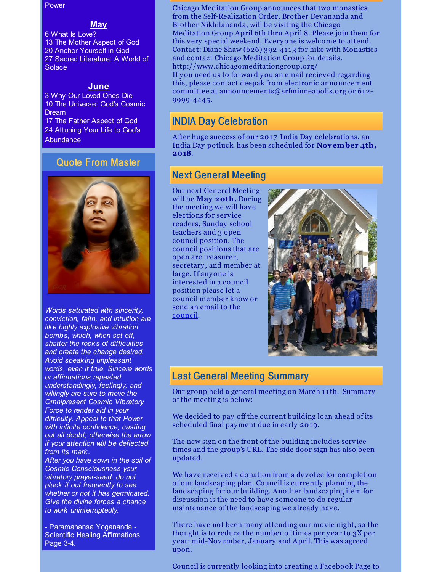Power

#### **May**

 What Is Love? The Mother Aspect of God Anchor Yourself in God Sacred Literature: A World of **Solace** 

#### **June**

 Why Our Loved Ones Die The Universe: God's Cosmic Dream The Father Aspect of God Attuning Your Life to God's **Abundance** 

### Quote From Master



*Words saturated with sincerity, conviction, faith, and intuition are like highly explosive vibration bombs, which, when set off, shatter the rocks of difficulties and create the change desired. Avoid speaking unpleasant words, even if true. Sincere words or affirmations repeated understandingly, feelingly, and willingly are sure to move the Omnipresent Cosmic Vibratory Force to render aid in your difficulty. Appeal to that Power with infinite confidence, casting out all doubt; otherwise the arrow if your attention will be deflected from its mark. After you have sown in the soil of Cosmic Consciousness your*

*vibratory prayer-seed, do not pluck it out frequently to see whether or not it has germinated. Give the divine forces a chance to work uninterruptedly.*

- Paramahansa Yogananda - Scientific Healing Affirmations Page 3-4.

#### Chicago Meditation Group announces that two monastics from the Self-Realization Order, Brother Devananda and Brother Nikhilananda, will be visiting the Chicago Meditation Group April 6th thru April 8. Please join them for this very special weekend. Everyone is welcome to attend. Contact: Diane Shaw (626) 392-41 13 for hike with Monastics and contact Chicago Meditation Group for details. http://www.chicagomeditationgroup.org/

If you need us to forward you an email recieved regarding this, please contact deepak from electronic announcement committee at announcements@srfminneapolis.org or 612- 9999-4445.

# INDIA Day Celebration

After huge success of our 2017 India Day celebrations, an India Day potluck has been scheduled for **November 4th, 2018**.

# Next General Meeting

Our next General Meeting will be **May 20th.** During the meeting we will have elections for service readers, Sunday school teachers and 3 open council position. The council positions that are open are treasurer, secretary, and member at large. If anyone is interested in a council position please let a council member know or send an email to the [council](mailto:council@srfminneapolis.org).



# Last General Meeting Summary

Our group held a general meeting on March 11th. Summary of the meeting is below:

We decided to pay off the current building loan ahead of its scheduled final payment due in early 2019.

The new sign on the front of the building includes service times and the group's URL. The side door sign has also been updated.

We have received a donation from a devotee for completion of our landscaping plan. Council is currently planning the landscaping for our building. Another landscaping item for discussion is the need to have someone to do regular maintenance of the landscaping we already have.

There have not been many attending our movie night, so the thought is to reduce the number of times per year to  $3X$  per y ear: mid-November, January and April. This was agreed upon.

Council is currently looking into creating a Facebook Page to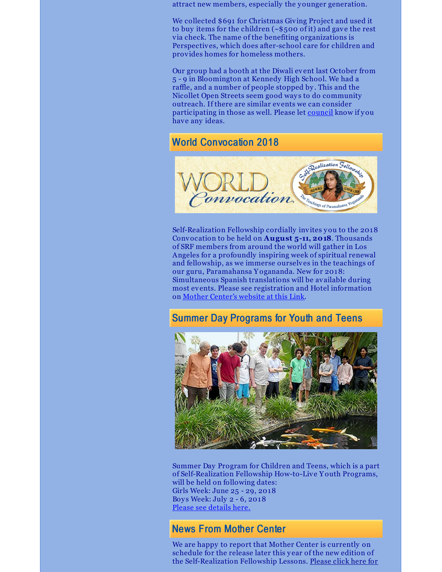attract new members, especially the younger generation.

We collected \$691 for Christmas Giving Project and used it to buy items for the children (~\$500 of it) and gave the rest via check. The name of the benefiting organizations is Perspectives, which does after-school care for children and provides homes for homeless mothers.

Our group had a booth at the Diwali event last October from 5 - 9 in Bloomington at Kennedy High School. We had a raffle, and a number of people stopped by . This and the Nicollet Open Streets seem good ways to do community outreach. If there are similar events we can consider participating in those as well. Please let [council](mailto:council@srfminneapolis.org) know if you have any ideas.

# World Convocation 2018



Self-Realization Fellowship cordially invites you to the 2018 Convocation to be held on **August 5-11, 2018**. Thousands of SRF members from around the world will gather in Los Angeles for a profoundly inspiring week of spiritual renewal and fellowship, as we immerse ourselves in the teachings of our guru, Paramahansa Y ogananda. New for 2018: Simultaneous Spanish translations will be available during most events. Please see registration and Hotel information on Mother [Center's](http://www.yogananda-srf.org/SRF_World_Convocation.aspx) website at this Link.

# Summer Day Programs for Youth and Teens



Summer Day Program for Children and Teens, which is a part of Self-Realization Fellowship How-to-Live Y outh Programs, will be held on following dates: Girls Week: June 25 - 29, 2018 Boys Week: July 2 - 6, 2018 Please see [details](http://www.yogananda-srf.org/programsforyouth/Summer_Day_Program.aspx) here.

# News From Mother Center

We are happy to report that Mother Center is currently on schedule for the release later this y ear of the new edition of the [Self-Realization](http://www.yogananda-srf.org/NewsArchive/2018/2018_Release_of_New_Edition_of_SRF_Lessons_on_Schedule.aspx) Fellowship Lessons. Please click here for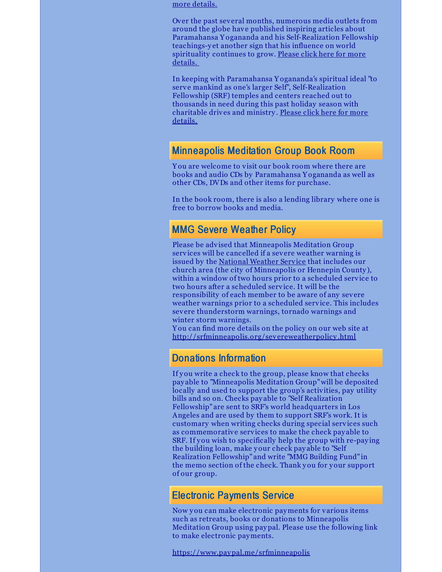more details.

Over the past several months, numerous media outlets from around the globe have published inspiring articles about Paramahansa Y ogananda and his Self-Realization Fellowship teachings-y et another sign that his influence on world [spirituality](http://www.yogananda-srf.org/NewsArchive/2018/Global_Awareness_of_Yogananda_s_Teachings_on_the_Rise.aspx) continues to grow. Please click here for more details.

In keeping with Paramahansa Y ogananda's spiritual ideal "to serve mankind as one's larger Self", Self-Realization Fellowship (SRF) temples and centers reached out to thousands in need during this past holiday season with [charitable](http://www.yogananda-srf.org/NewsArchive/2017/SRF_Temples_and_Centers_Find_Joy_in_Serving_Others.aspx) drives and ministry . Please click here for more details.

### Minneapolis Meditation Group Book Room

Y ou are welcome to visit our book room where there are books and audio CDs by Paramahansa Y ogananda as well as other CDs, DVDs and other items for purchase.

In the book room, there is also a lending library where one is free to borrow books and media.

### MMG Severe Weather Policy

Please be advised that Minneapolis Meditation Group services will be cancelled if a severe weather warning is issued by the [National](http://forecast.weather.gov/MapClick.php?CityName=Minneapolis&state=MN&site=MPX&textField1=44.9618&textField2=-93.2668&e=0) Weather Service that includes our church area (the city of Minneapolis or Hennepin County ), within a window of two hours prior to a scheduled service to two hours after a scheduled service. It will be the responsibility of each member to be aware of any severe weather warnings prior to a scheduled service. This includes severe thunderstorm warnings, tornado warnings and winter storm warnings.

Y ou can find more details on the policy on our web site at [http://srfminneapolis.org/severeweatherpolicy](http://srfminneapolis.org/severeweatherpolicy.html) .html

### Donations Information

If you write a check to the group, please know that checks pay able to "Minneapolis Meditation Group"will be deposited locally and used to support the group's activities, pay utility bills and so on. Checks pay able to "Self Realization Fellowship" are sent to SRF's world headquarters in Los Angeles and are used by them to support SRF's work. It is customary when writing checks during special services such as commemorative services to make the check pay able to SRF. If you wish to specifically help the group with re-paying the building loan, make your check pay able to "Self Realization Fellowship" and write "MMG Building Fund" in the memo section of the check. Thank you for your support of our group.

### Electronic Payments Service

Now you can make electronic payments for various items such as retreats, books or donations to Minneapolis Meditation Group using paypal. Please use the following link to make electronic payments.

<https://www.paypal.me/srfminneapolis>